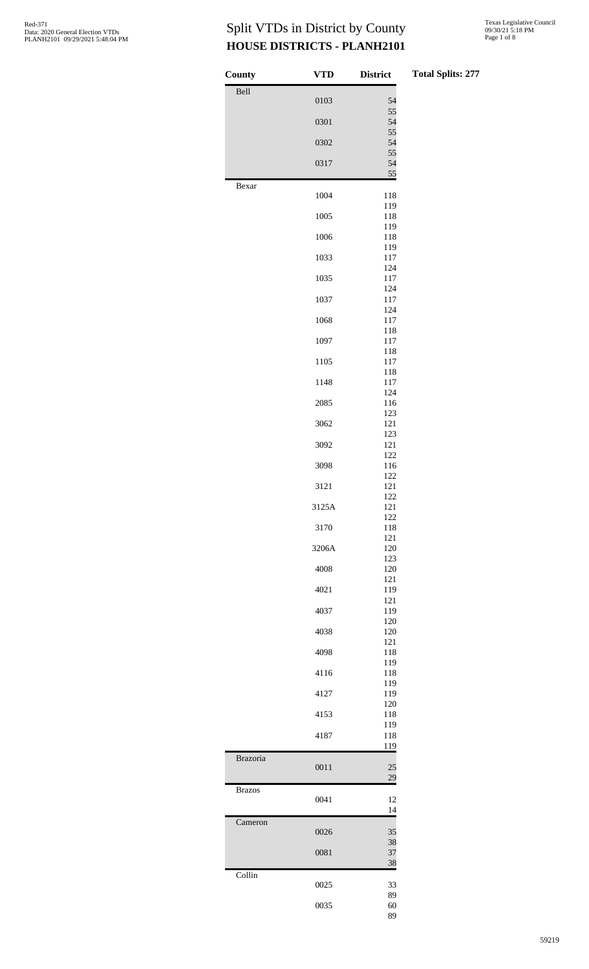| County        | <b>VTD</b> | <b>District</b><br>T <sub>0</sub> |
|---------------|------------|-----------------------------------|
| Bell          | 0103       | 54                                |
|               | 0301       | 55<br>54                          |
|               | 0302       | 55<br>54                          |
|               | 0317       | 55<br>54                          |
|               |            | 55                                |
| Bexar         | 1004       | 118                               |
|               | 1005       | 119<br>118                        |
|               | 1006       | 119<br>118                        |
|               | 1033       | 119<br>117                        |
|               | 1035       | 124<br>117                        |
|               | 1037       | 124<br>117                        |
|               | 1068       | 124<br>117                        |
|               | 1097       | 118<br>117                        |
|               | 1105       | 118<br>117                        |
|               |            | 118                               |
|               | 1148       | 117<br>124                        |
|               | 2085       | 116<br>123                        |
|               | 3062       | 121<br>123                        |
|               | 3092       | 121<br>122                        |
|               | 3098       | 116<br>122                        |
|               | 3121       | 121<br>122                        |
|               | 3125A      | 121<br>122                        |
|               | 3170       | 118<br>121                        |
|               | 3206A      | 120                               |
|               | 4008       | 123<br>120                        |
|               | 4021       | 121<br>119                        |
|               | 4037       | 121<br>119                        |
|               | 4038       | 120<br>120                        |
|               | 4098       | 121<br>118                        |
|               | 4116       | 119<br>118                        |
|               | 4127       | 119<br>119                        |
|               | 4153       | 120<br>118                        |
|               | 4187       | 119<br>118                        |
|               |            | 119                               |
| Brazoria      | 0011       | 25<br>29                          |
| <b>Brazos</b> | 0041       | 12<br>14                          |
| Cameron       | 0026       | 35<br>38                          |
|               | 0081       | 37<br>38                          |
| Collin        | 0025       | 33                                |
|               | 0035       | 89<br>60<br>89                    |
|               |            |                                   |

#### **Total Splits: 277**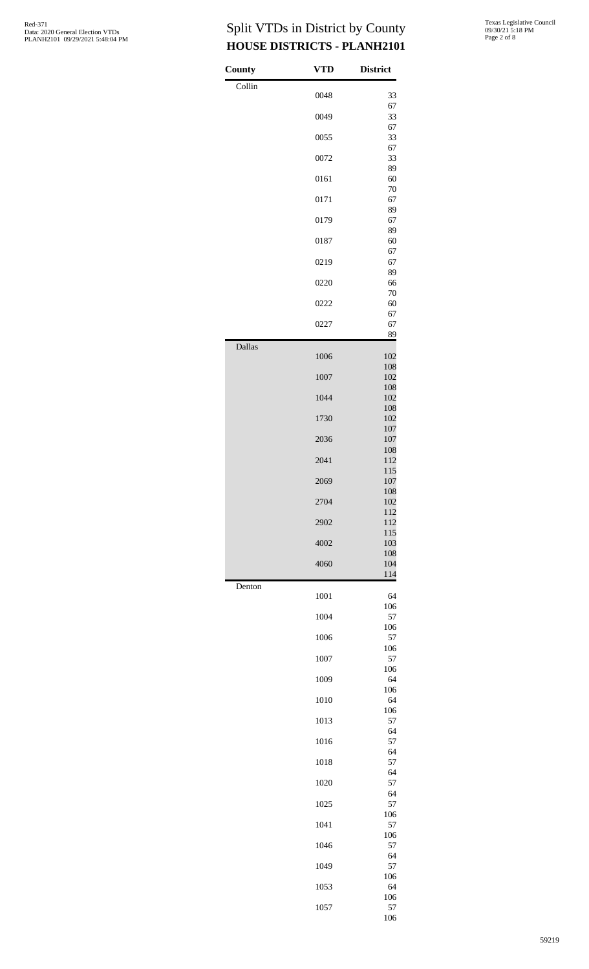| <b>County</b> | <b>VTD</b> | <b>District</b> |
|---------------|------------|-----------------|
| Collin        | 0048       | 33              |
|               | 0049       | 67<br>33        |
|               | 0055       | 67<br>33        |
|               | 0072       | 67<br>33        |
|               | 0161       | 89<br>60        |
|               | 0171       | 70<br>67        |
|               | 0179       | 89<br>67        |
|               | 0187       | 89<br>60        |
|               | 0219       | 67<br>67        |
|               | 0220       | 89<br>66        |
|               | 0222       | 70<br>60        |
|               | 0227       | 67<br>67        |
|               |            | 89              |
| Dallas        | 1006       | 102<br>108      |
|               | 1007       | 102             |
|               | 1044       | 108<br>102      |
|               | 1730       | 108<br>102      |
|               | 2036       | 107<br>107      |
|               | 2041       | 108<br>112      |
|               | 2069       | 115<br>107      |
|               | 2704       | 108<br>102      |
|               | 2902       | 112<br>112      |
|               | 4002       | 115<br>103      |
|               | 4060       | 108<br>104      |
| Denton        | 1001       | 114<br>64       |
|               | 1004       | 106<br>57       |
|               | 1006       | 106<br>57       |
|               | 1007       | 106<br>57       |
|               | 1009       | 106<br>64       |
|               | 1010       | 106<br>64       |
|               | 1013       | 106<br>57       |
|               |            | 64              |
|               | 1016       | 57<br>64        |
|               | 1018       | 57<br>64        |
|               | 1020       | 57<br>64        |
|               | 1025       | 57<br>106       |
|               | 1041       | 57<br>106       |
|               | 1046       | 57<br>64        |
|               | 1049       | 57<br>106       |
|               | 1053       | 64<br>106       |
|               | 1057       | 57<br>106       |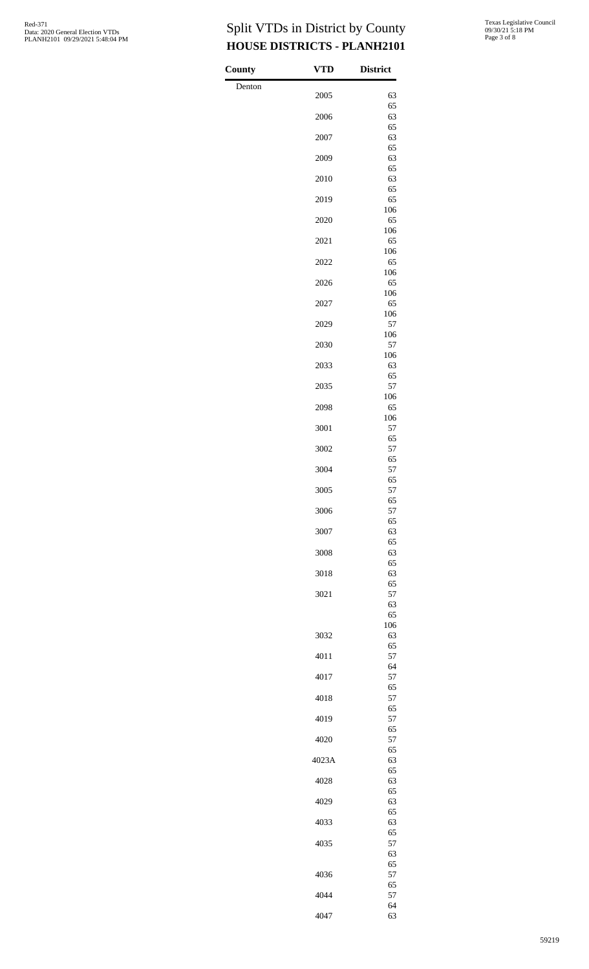$County$ Denton

| VTD   | <b>District</b> |
|-------|-----------------|
| 2005  | 63              |
| 2006  | 65<br>63        |
| 2007  | 65<br>63        |
| 2009  | 65<br>63        |
| 2010  | 65<br>63        |
| 2019  | 65<br>65        |
|       | 106             |
| 2020  | 65<br>106       |
| 2021  | 65<br>106       |
| 2022  | 65<br>106       |
| 2026  | 65<br>106       |
| 2027  | 65<br>106       |
| 2029  | 57<br>106       |
| 2030  | 57<br>106       |
| 2033  | 63<br>65        |
| 2035  | 57<br>106       |
| 2098  | 65              |
| 3001  | 106<br>57       |
| 3002  | 65<br>57        |
| 3004  | 65<br>57        |
| 3005  | 65<br>57        |
| 3006  | 65<br>57        |
| 3007  | 65<br>63        |
| 3008  | 65<br>63        |
| 3018  | 65<br>63        |
| 3021  | 65<br>57        |
|       | 63<br>65        |
| 3032  | 106<br>63       |
|       | 65              |
| 4011  | 57<br>64        |
| 4017  | 57<br>65        |
| 4018  | 57<br>65        |
| 4019  | 57<br>65        |
| 4020  | 57<br>65        |
| 4023A | 63<br>65        |
| 4028  | 63<br>65        |
| 4029  | 63<br>65        |
| 4033  | 63<br>65        |
| 4035  | 57<br>63        |
|       | 65              |
| 4036  | 57<br>65        |
| 4044  | 57<br>64        |
| 4047  | 63              |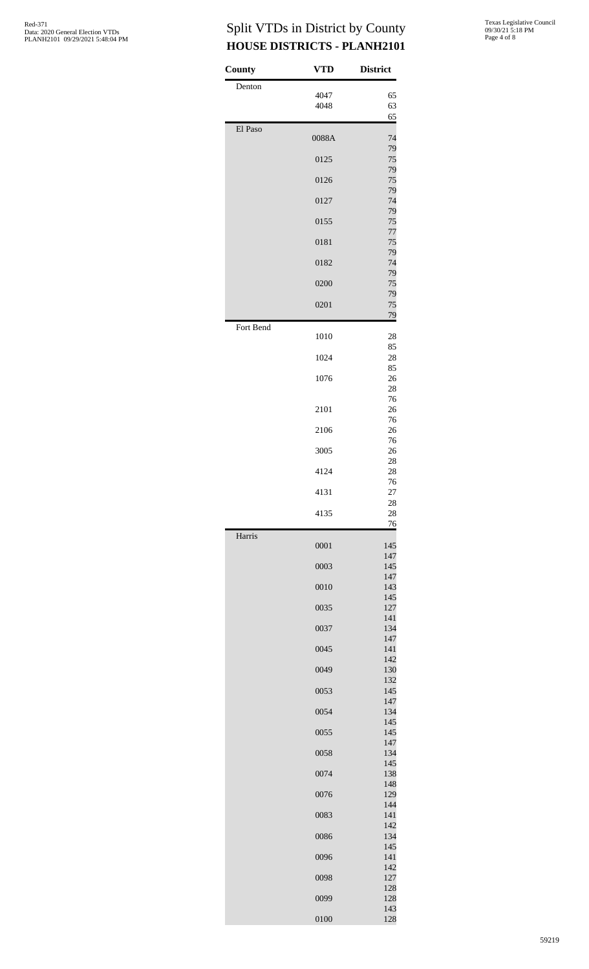| County    | VTD   | <b>District</b> |
|-----------|-------|-----------------|
| Denton    | 4047  | 65              |
|           | 4048  | 63              |
| El Paso   |       | 65              |
|           | 0088A | 74<br>79        |
|           | 0125  | 75<br>79        |
|           | 0126  | 75              |
|           | 0127  | 79<br>74        |
|           | 0155  | 79<br>75        |
|           | 0181  | 77<br>75        |
|           |       | 79              |
|           | 0182  | 74<br>79        |
|           | 0200  | 75<br>79        |
|           | 0201  | 75<br>79        |
| Fort Bend | 1010  | 28              |
|           | 1024  | 85<br>28        |
|           |       | 85              |
|           | 1076  | 26<br>28        |
|           | 2101  | 76<br>26        |
|           | 2106  | 76<br>26        |
|           |       | 76              |
|           | 3005  | 26<br>28        |
|           | 4124  | 28<br>76        |
|           | 4131  | 27<br>28        |
|           | 4135  | 28<br>76        |
| Harris    |       | 145             |
|           | 0001  | 147             |
|           | 0003  | 145<br>147      |
|           | 0010  | 143<br>145      |
|           | 0035  | 127             |
|           | 0037  | 141<br>134      |
|           | 0045  | 147<br>141      |
|           | 0049  | 142<br>130      |
|           |       | 132             |
|           | 0053  | 145<br>147      |
|           | 0054  | 134<br>145      |
|           | 0055  | 145<br>147      |
|           | 0058  | 134             |
|           | 0074  | 145<br>138      |
|           | 0076  | 148<br>129      |
|           | 0083  | 144<br>141      |
|           |       | 142             |
|           | 0086  | 134<br>145      |
|           | 0096  | 141<br>142      |
|           | 0098  | 127<br>128      |
|           | 0099  | 128             |
|           | 0100  | 143<br>128      |

Texas Legislative Council 09/30/21 5:18 PM Page 4 of 8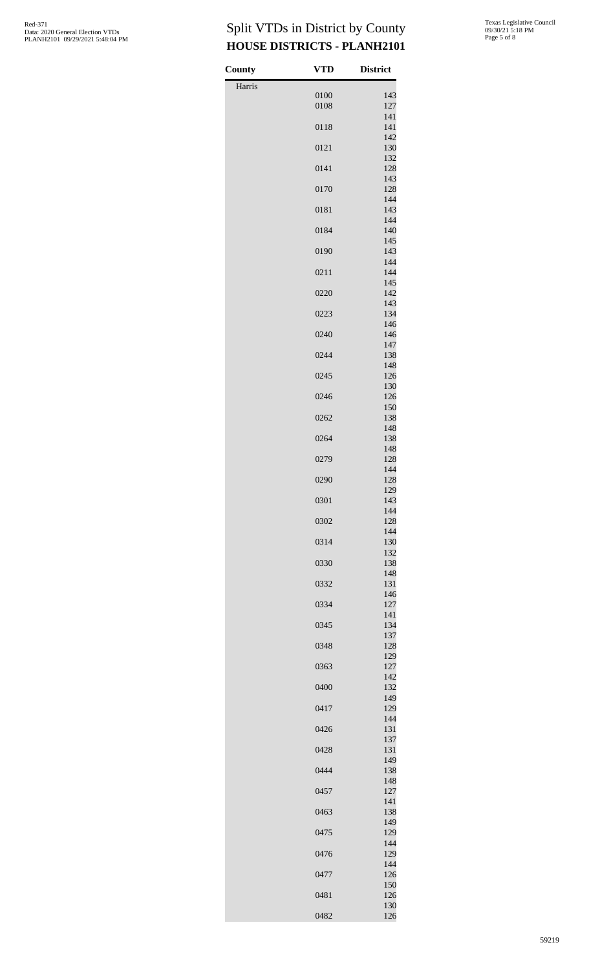| County | <b>VTD</b>   | <b>District</b> |
|--------|--------------|-----------------|
| Harris |              |                 |
|        | 0100<br>0108 | 143<br>127      |
|        | 0118         | 141<br>141      |
|        | 0121         | 142<br>130      |
|        | 0141         | 132<br>128      |
|        | 0170         | 143<br>128      |
|        | 0181         | 144<br>143      |
|        | 0184         | 144<br>140      |
|        | 0190         | 145<br>143      |
|        | 0211         | 144<br>144      |
|        | 0220         | 145<br>142      |
|        | 0223         | 143<br>134      |
|        | 0240         | 146<br>146      |
|        | 0244         | 147<br>138      |
|        | 0245         | 148<br>126      |
|        | 0246         | 130<br>126      |
|        | 0262         | 150<br>138      |
|        | 0264         | 148<br>138      |
|        | 0279         | 148<br>128      |
|        | 0290         | 144<br>128      |
|        | 0301         | 129<br>143      |
|        | 0302         | 144<br>128      |
|        | 0314         | 144<br>130      |
|        | 0330         | 132<br>138      |
|        | 0332         | 148<br>131      |
|        | 0334         | 146<br>127      |
|        | 0345         | 141<br>134      |
|        | 0348         | 137<br>128      |
|        | 0363         | 129<br>127      |
|        | 0400         | 142<br>132      |
|        | 0417         | 149<br>129      |
|        | 0426         | 144<br>131      |
|        | 0428         | 137<br>131      |
|        | 0444         | 149<br>138      |
|        | 0457         | 148<br>127      |
|        | 0463         | 141<br>138      |
|        | 0475         | 149<br>129      |
|        | 0476         | 144<br>129      |
|        | 0477         | 144<br>126      |
|        | 0481         | 150<br>126      |
|        | 0482         | 130<br>126      |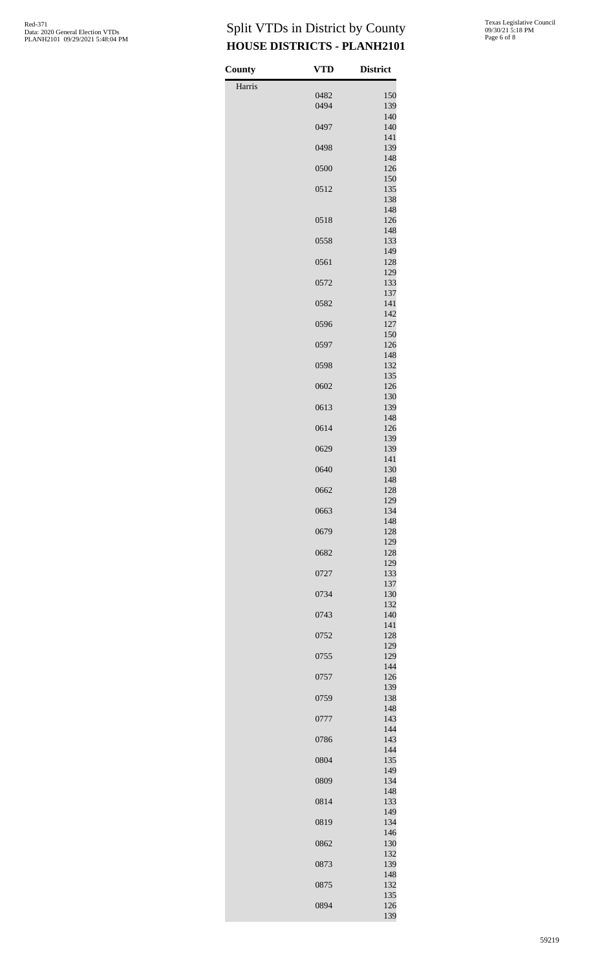| County | <b>VTD</b> | <b>District</b> |
|--------|------------|-----------------|
| Harris |            |                 |
|        | 0482       | 150             |
|        | 0494       | 139<br>140      |
|        | 0497       | 140             |
|        |            | 141             |
|        | 0498       | 139<br>148      |
|        | 0500       | 126             |
|        |            | 150             |
|        | 0512       | 135<br>138      |
|        |            | 148             |
|        | 0518       | 126<br>148      |
|        | 0558       | 133             |
|        |            | 149             |
|        | 0561       | 128<br>129      |
|        | 0572       | 133             |
|        |            | 137             |
|        | 0582       | 141<br>142      |
|        | 0596       | 127             |
|        |            | 150             |
|        | 0597       | 126<br>148      |
|        | 0598       | 132             |
|        |            | 135             |
|        | 0602       | 126<br>130      |
|        | 0613       | 139             |
|        |            | 148             |
|        | 0614       | 126<br>139      |
|        | 0629       | 139             |
|        | 0640       | 141<br>130      |
|        |            | 148             |
|        | 0662       | 128             |
|        | 0663       | 129<br>134      |
|        |            | 148             |
|        | 0679       | 128             |
|        | 0682       | 129<br>128      |
|        |            | 129             |
|        | 0727       | 133             |
|        | 0734       | 137<br>130      |
|        |            | 132             |
|        | 0743       | 140<br>141      |
|        | 0752       | 128             |
|        |            | 129             |
|        | 0755       | 129<br>144      |
|        | 0757       | 126             |
|        | 0759       | 139<br>138      |
|        |            | 148             |
|        | 0777       | 143             |
|        | 0786       | 144<br>143      |
|        |            | 144             |
|        | 0804       | 135             |
|        | 0809       | 149<br>134      |
|        |            | 148             |
|        | 0814       | 133<br>149      |
|        | 0819       | 134             |
|        |            | 146             |
|        | 0862       | 130<br>132      |
|        | 0873       | 139             |
|        |            | 148             |
|        | 0875       | 132<br>135      |
|        | 0894       | 126             |
|        |            | 139             |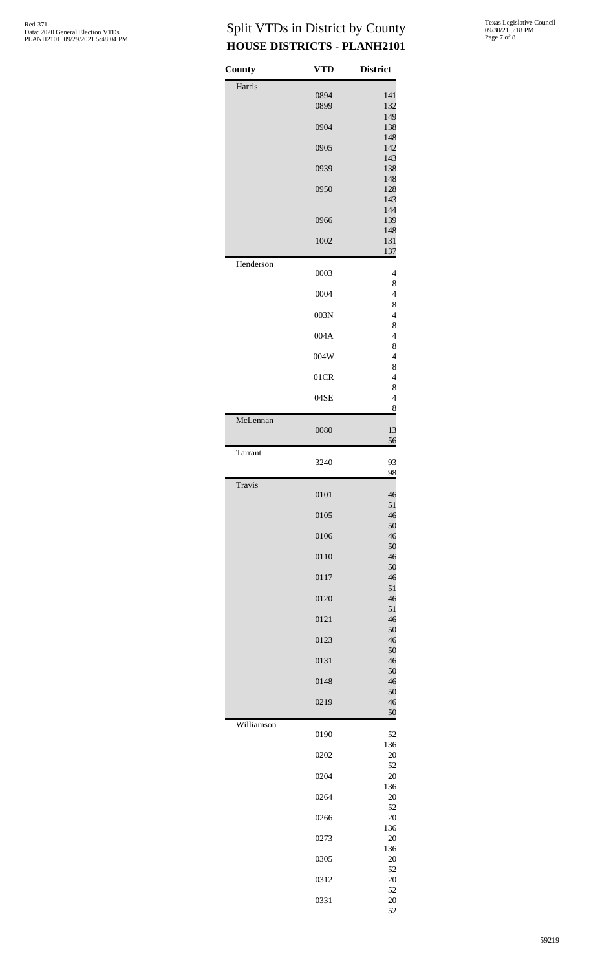| County     | <b>VTD</b> | <b>District</b>     |
|------------|------------|---------------------|
| Harris     | 0894       | 141                 |
|            | 0899       | 132<br>149          |
|            | 0904       | 138<br>148          |
|            | 0905       | 142<br>143          |
|            | 0939       | 138<br>148          |
|            | 0950       | 128<br>143          |
|            | 0966       | 144<br>139          |
|            | 1002       | 148<br>131          |
| Henderson  |            | 137                 |
|            | 0003       | 4<br>8              |
|            | 0004       | $\overline{4}$<br>8 |
|            | 003N       | $\overline{4}$<br>8 |
|            | 004A       | $\overline{4}$<br>8 |
|            | 004W       | $\overline{4}$<br>8 |
|            | 01CR       | $\overline{4}$<br>8 |
|            | 04SE       | $\overline{4}$<br>8 |
| McLennan   | 0080       | 13                  |
| Tarrant    |            | $\frac{56}{5}$      |
|            | 3240       | 93<br>98            |
| Travis     | 0101       | 46                  |
|            | 0105       | 51<br>46            |
|            | 0106       | 50<br>46            |
|            | 0110       | 50<br>46            |
|            | 0117       | 50<br>46            |
|            | 0120       | 51<br>46            |
|            | 0121       | 51<br>46            |
|            | 0123       | 50<br>46            |
|            | 0131       | 50<br>46            |
|            | 0148       | 50<br>46            |
|            | 0219       | 50<br>46            |
| Williamson | 0190       | 50<br>52            |
|            | 0202       | 136<br>20           |
|            | 0204       | 52<br>20            |
|            | 0264       | 136<br>20           |
|            | 0266       | 52<br>20            |
|            | 0273       | 136<br>20           |
|            | 0305       | 136<br>20           |
|            | 0312       | 52<br>20            |
|            | 0331       | 52<br>20            |
|            |            | 52                  |